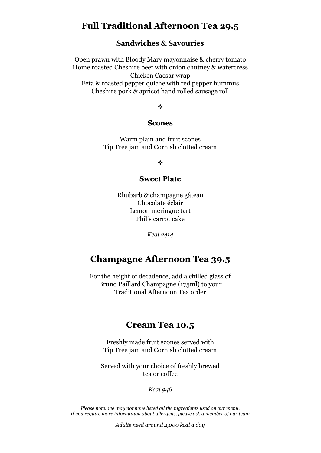# **Full Traditional Afternoon Tea 29.5**

### **Sandwiches & Savouries**

Open prawn with Bloody Mary mayonnaise & cherry tomato Home roasted Cheshire beef with onion chutney & watercress Chicken Caesar wrap Feta & roasted pepper quiche with red pepper hummus Cheshire pork & apricot hand rolled sausage roll

 $\cdot$ 

#### **Scones**

Warm plain and fruit scones Tip Tree jam and Cornish clotted cream

 $\frac{1}{2}$ 

### **Sweet Plate**

Rhubarb & champagne gâteau Chocolate éclair Lemon meringue tart Phil's carrot cake

*Kcal 2414*

## **Champagne Afternoon Tea 39.5**

For the height of decadence, add a chilled glass of Bruno Paillard Champagne (175ml) to your Traditional Afternoon Tea order

### **Cream Tea 10.5**

Freshly made fruit scones served with Tip Tree jam and Cornish clotted cream

Served with your choice of freshly brewed tea or coffee

*Kcal 946*

*Please note: we may not have listed all the ingredients used on our menu. If you require more information about allergens, please ask a member of our team*

*Adults need around 2,000 kcal a day*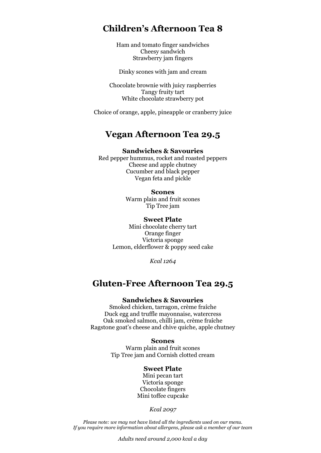# **Children's Afternoon Tea 8**

Ham and tomato finger sandwiches Cheesy sandwich Strawberry jam fingers

Dinky scones with jam and cream

Chocolate brownie with juicy raspberries Tangy fruity tart White chocolate strawberry pot

Choice of orange, apple, pineapple or cranberry juice

# **Vegan Afternoon Tea 29.5**

### **Sandwiches & Savouries**

Red pepper hummus, rocket and roasted peppers Cheese and apple chutney Cucumber and black pepper Vegan feta and pickle

> **Scones** Warm plain and fruit scones Tip Tree jam

#### **Sweet Plate**

Mini chocolate cherry tart Orange finger Victoria sponge Lemon, elderflower & poppy seed cake

*Kcal 1264*

## **Gluten-Free Afternoon Tea 29.5**

### **Sandwiches & Savouries**

Smoked chicken, tarragon, crème fraîche Duck egg and truffle mayonnaise, watercress Oak smoked salmon, chilli jam, crème fraîche Ragstone goat's cheese and chive quiche, apple chutney

#### **Scones**

Warm plain and fruit scones Tip Tree jam and Cornish clotted cream

### **Sweet Plate**

Mini pecan tart Victoria sponge Chocolate fingers Mini toffee cupcake

*Kcal 2097*

*Please note: we may not have listed all the ingredients used on our menu. If you require more information about allergens, please ask a member of our team*

*Adults need around 2,000 kcal a day*